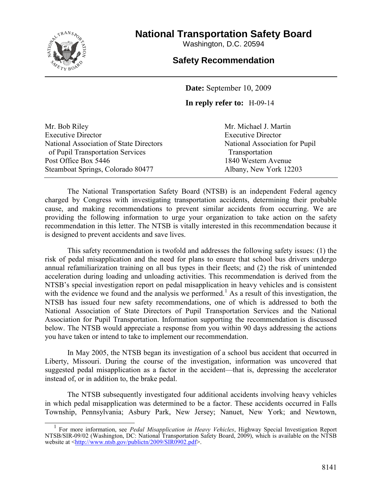

# **National Transportation Safety Board**

Washington, D.C. 20594

## **Safety Recommendation**

**Date:** September 10, 2009

### **In reply refer to:** H-09-14

| Mr. Bob Riley                           |
|-----------------------------------------|
| <b>Executive Director</b>               |
| National Association of State Directors |
| of Pupil Transportation Services        |
| Post Office Box 5446                    |
| Steamboat Springs, Colorado 80477       |

Mr. Michael J. Martin Executive Director National Association for Pupil Transportation 1840 Western Avenue Albany, New York 12203

The National Transportation Safety Board (NTSB) is an independent Federal agency charged by Congress with investigating transportation accidents, determining their probable cause, and making recommendations to prevent similar accidents from occurring. We are providing the following information to urge your organization to take action on the safety recommendation in this letter. The NTSB is vitally interested in this recommendation because it is designed to prevent accidents and save lives.

This safety recommendation is twofold and addresses the following safety issues: (1) the risk of pedal misapplication and the need for plans to ensure that school bus drivers undergo annual refamiliarization training on all bus types in their fleets; and (2) the risk of unintended acceleration during loading and unloading activities. This recommendation is derived from the NTSB's special investigation report on pedal misapplication in heavy vehicles and is consistent with the evidence we found and the analysis we performed.<sup>1</sup> As a result of this investigation, the NTSB has issued four new safety recommendations, one of which is addressed to both the National Association of State Directors of Pupil Transportation Services and the National Association for Pupil Transportation. Information supporting the recommendation is discussed below. The NTSB would appreciate a response from you within 90 days addressing the actions you have taken or intend to take to implement our recommendation.

In May 2005, the NTSB began its investigation of a school bus accident that occurred in Liberty, Missouri. During the course of the investigation, information was uncovered that suggested pedal misapplication as a factor in the accident—that is, depressing the accelerator instead of, or in addition to, the brake pedal.

The NTSB subsequently investigated four additional accidents involving heavy vehicles in which pedal misapplication was determined to be a factor. These accidents occurred in Falls Township, Pennsylvania; Asbury Park, New Jersey; Nanuet, New York; and Newtown,

 1 For more information, see *Pedal Misapplication in Heavy Vehicles*, Highway Special Investigation Report NTSB/SIR-09/02 (Washington, DC: National Transportation Safety Board, 2009), which is available on the NTSB website at [<http://www.ntsb.gov/publictn/2009/SIR0902.pdf>](http://www.ntsb.gov/publictn/2009/SIR0902.pdf).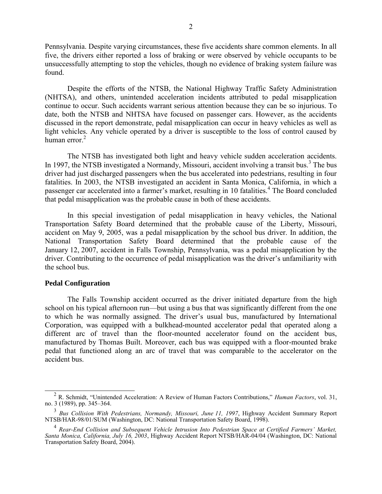Pennsylvania. Despite varying circumstances, these five accidents share common elements. In all five, the drivers either reported a loss of braking or were observed by vehicle occupants to be unsuccessfully attempting to stop the vehicles, though no evidence of braking system failure was found.

Despite the efforts of the NTSB, the National Highway Traffic Safety Administration (NHTSA), and others, unintended acceleration incidents attributed to pedal misapplication continue to occur. Such accidents warrant serious attention because they can be so injurious. To date, both the NTSB and NHTSA have focused on passenger cars. However, as the accidents discussed in the report demonstrate, pedal misapplication can occur in heavy vehicles as well as light vehicles. Any vehicle operated by a driver is susceptible to the loss of control caused by human error. $2$ 

The NTSB has investigated both light and heavy vehicle sudden acceleration accidents. In 1997, the NTSB investigated a Normandy, Missouri, accident involving a transit bus.<sup>3</sup> The bus driver had just discharged passengers when the bus accelerated into pedestrians, resulting in four fatalities. In 2003, the NTSB investigated an accident in Santa Monica, California, in which a passenger car accelerated into a farmer's market, resulting in 10 fatalities.<sup>4</sup> The Board concluded that pedal misapplication was the probable cause in both of these accidents.

In this special investigation of pedal misapplication in heavy vehicles, the National Transportation Safety Board determined that the probable cause of the Liberty, Missouri, accident on May 9, 2005, was a pedal misapplication by the school bus driver. In addition, the National Transportation Safety Board determined that the probable cause of the January 12, 2007, accident in Falls Township, Pennsylvania, was a pedal misapplication by the driver. Contributing to the occurrence of pedal misapplication was the driver's unfamiliarity with the school bus.

### **Pedal Configuration**

The Falls Township accident occurred as the driver initiated departure from the high school on his typical afternoon run—but using a bus that was significantly different from the one to which he was normally assigned. The driver's usual bus, manufactured by International Corporation, was equipped with a bulkhead-mounted accelerator pedal that operated along a different arc of travel than the floor-mounted accelerator found on the accident bus, manufactured by Thomas Built. Moreover, each bus was equipped with a floor-mounted brake pedal that functioned along an arc of travel that was comparable to the accelerator on the accident bus.

<sup>&</sup>lt;sup>2</sup> R. Schmidt, "Unintended Acceleration: A Review of Human Factors Contributions," *Human Factors*, vol. 31, no. 3 (1989), pp. 345–364.

<sup>3</sup> *Bus Collision With Pedestrians, Normandy, Missouri, June 11, 1997*, Highway Accident Summary Report NTSB/HAR-98/01/SUM (Washington, DC: National Transportation Safety Board, 1998).

<sup>4</sup> *Rear-End Collision and Subsequent Vehicle Intrusion Into Pedestrian Space at Certified Farmers' Market, Santa Monica, California, July 16, 2003*, Highway Accident Report NTSB/HAR-04/04 (Washington, DC: National Transportation Safety Board, 2004).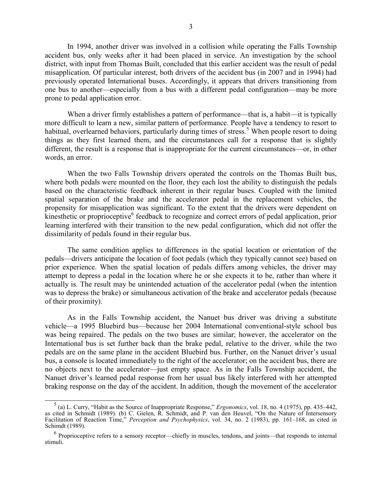In 1994, another driver was involved in a collision while operating the Falls Township accident bus, only weeks after it had been placed in service. An investigation by the school district, with input from Thomas Built, concluded that this earlier accident was the result of pedal misapplication. Of particular interest, both drivers of the accident bus (in 2007 and in 1994) had previously operated International buses. Accordingly, it appears that drivers transitioning from one bus to another—especially from a bus with a different pedal configuration—may be more prone to pedal application error.

When a driver firmly establishes a pattern of performance—that is, a habit—it is typically more difficult to learn a new, similar pattern of performance. People have a tendency to resort to habitual, overlearned behaviors, particularly during times of stress.<sup>5</sup> When people resort to doing things as they first learned them, and the circumstances call for a response that is slightly different, the result is a response that is inappropriate for the current circumstances—or, in other words, an error.

When the two Falls Township drivers operated the controls on the Thomas Built bus, where both pedals were mounted on the floor, they each lost the ability to distinguish the pedals based on the characteristic feedback inherent in their regular buses. Coupled with the limited spatial separation of the brake and the accelerator pedal in the replacement vehicles, the propensity for misapplication was significant. To the extent that the drivers were dependent on kinesthetic or proprioceptive<sup>6</sup> feedback to recognize and correct errors of pedal application, prior learning interfered with their transition to the new pedal configuration, which did not offer the dissimilarity of pedals found in their regular bus.

The same condition applies to differences in the spatial location or orientation of the pedals—drivers anticipate the location of foot pedals (which they typically cannot see) based on prior experience. When the spatial location of pedals differs among vehicles, the driver may attempt to depress a pedal in the location where he or she expects it to be, rather than where it actually is. The result may be unintended actuation of the accelerator pedal (when the intention was to depress the brake) or simultaneous activation of the brake and accelerator pedals (because of their proximity).

As in the Falls Township accident, the Nanuet bus driver was driving a substitute vehicle—a 1995 Bluebird bus—because her 2004 International conventional-style school bus was being repaired. The pedals on the two buses are similar; however, the accelerator on the International bus is set further back than the brake pedal, relative to the driver, while the two pedals are on the same plane in the accident Bluebird bus. Further, on the Nanuet driver's usual bus, a console is located immediately to the right of the accelerator; on the accident bus, there are no objects next to the accelerator—just empty space. As in the Falls Township accident, the Nanuet driver's learned pedal response from her usual bus likely interfered with her attempted braking response on the day of the accident. In addition, though the movement of the accelerator

<sup>&</sup>lt;sup>5</sup>(a) L. Curry, "Habit as the Source of Inappropriate Response," *Ergonomics*, vol. 18, no. 4 (1975), pp. 435–442, as cited in Schmidt (1989). (b) C. Gielen, R. Schmidt, and P. van den Heuvel, "On the Nature of Intersensory Facilitation of Reaction Time,‖ *Perception and Psychophysics*, vol. 34, no. 2 (1983), pp. 161–168, as cited in Schimdt (1989).

<sup>&</sup>lt;sup>6</sup> Proprioceptive refers to a sensory receptor—chiefly in muscles, tendons, and joints—that responds to internal stimuli.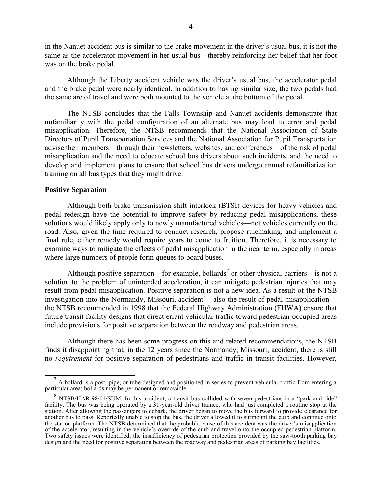in the Nanuet accident bus is similar to the brake movement in the driver's usual bus, it is not the same as the accelerator movement in her usual bus—thereby reinforcing her belief that her foot was on the brake pedal.

Although the Liberty accident vehicle was the driver's usual bus, the accelerator pedal and the brake pedal were nearly identical. In addition to having similar size, the two pedals had the same arc of travel and were both mounted to the vehicle at the bottom of the pedal.

The NTSB concludes that the Falls Township and Nanuet accidents demonstrate that unfamiliarity with the pedal configuration of an alternate bus may lead to error and pedal misapplication. Therefore, the NTSB recommends that the National Association of State Directors of Pupil Transportation Services and the National Association for Pupil Transportation advise their members—through their newsletters, websites, and conferences—of the risk of pedal misapplication and the need to educate school bus drivers about such incidents, and the need to develop and implement plans to ensure that school bus drivers undergo annual refamiliarization training on all bus types that they might drive.

### **Positive Separation**

Although both brake transmission shift interlock (BTSI) devices for heavy vehicles and pedal redesign have the potential to improve safety by reducing pedal misapplications, these solutions would likely apply only to newly manufactured vehicles—not vehicles currently on the road. Also, given the time required to conduct research, propose rulemaking, and implement a final rule, either remedy would require years to come to fruition. Therefore, it is necessary to examine ways to mitigate the effects of pedal misapplication in the near term, especially in areas where large numbers of people form queues to board buses.

Although positive separation—for example, bollards<sup>7</sup> or other physical barriers—is not a solution to the problem of unintended acceleration, it can mitigate pedestrian injuries that may result from pedal misapplication. Positive separation is not a new idea. As a result of the NTSB investigation into the Normandy, Missouri, accident  $8$ —also the result of pedal misapplication the NTSB recommended in 1998 that the Federal Highway Administration (FHWA) ensure that future transit facility designs that direct errant vehicular traffic toward pedestrian-occupied areas include provisions for positive separation between the roadway and pedestrian areas.

Although there has been some progress on this and related recommendations, the NTSB finds it disappointing that, in the 12 years since the Normandy, Missouri, accident, there is still no *requirement* for positive separation of pedestrians and traffic in transit facilities. However,

<sup>&</sup>lt;sup>7</sup> A bollard is a post, pipe, or tube designed and positioned in series to prevent vehicular traffic from entering a particular area; bollards may be permanent or removable.

 $8$  NTSB/HAR-98/01/SUM. In this accident, a transit bus collided with seven pedestrians in a "park and ride" facility. The bus was being operated by a 31-year-old driver trainee, who had just completed a routine stop at the station. After allowing the passengers to debark, the driver began to move the bus forward to provide clearance for another bus to pass. Reportedly unable to stop the bus, the driver allowed it to surmount the curb and continue onto the station platform. The NTSB determined that the probable cause of this accident was the driver's misapplication of the accelerator, resulting in the vehicle's override of the curb and travel onto the occupied pedestrian platform. Two safety issues were identified: the insufficiency of pedestrian protection provided by the saw-tooth parking bay design and the need for positive separation between the roadway and pedestrian areas of parking bay facilities.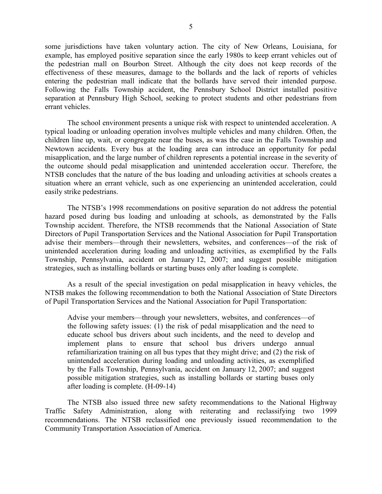some jurisdictions have taken voluntary action. The city of New Orleans, Louisiana, for example, has employed positive separation since the early 1980s to keep errant vehicles out of the pedestrian mall on Bourbon Street. Although the city does not keep records of the effectiveness of these measures, damage to the bollards and the lack of reports of vehicles entering the pedestrian mall indicate that the bollards have served their intended purpose. Following the Falls Township accident, the Pennsbury School District installed positive separation at Pennsbury High School, seeking to protect students and other pedestrians from errant vehicles.

The school environment presents a unique risk with respect to unintended acceleration. A typical loading or unloading operation involves multiple vehicles and many children. Often, the children line up, wait, or congregate near the buses, as was the case in the Falls Township and Newtown accidents. Every bus at the loading area can introduce an opportunity for pedal misapplication, and the large number of children represents a potential increase in the severity of the outcome should pedal misapplication and unintended acceleration occur. Therefore, the NTSB concludes that the nature of the bus loading and unloading activities at schools creates a situation where an errant vehicle, such as one experiencing an unintended acceleration, could easily strike pedestrians.

The NTSB's 1998 recommendations on positive separation do not address the potential hazard posed during bus loading and unloading at schools, as demonstrated by the Falls Township accident. Therefore, the NTSB recommends that the National Association of State Directors of Pupil Transportation Services and the National Association for Pupil Transportation advise their members—through their newsletters, websites, and conferences—of the risk of unintended acceleration during loading and unloading activities, as exemplified by the Falls Township, Pennsylvania, accident on January 12, 2007; and suggest possible mitigation strategies, such as installing bollards or starting buses only after loading is complete.

As a result of the special investigation on pedal misapplication in heavy vehicles, the NTSB makes the following recommendation to both the National Association of State Directors of Pupil Transportation Services and the National Association for Pupil Transportation:

Advise your members—through your newsletters, websites, and conferences—of the following safety issues: (1) the risk of pedal misapplication and the need to educate school bus drivers about such incidents, and the need to develop and implement plans to ensure that school bus drivers undergo annual refamiliarization training on all bus types that they might drive; and (2) the risk of unintended acceleration during loading and unloading activities, as exemplified by the Falls Township, Pennsylvania, accident on January 12, 2007; and suggest possible mitigation strategies, such as installing bollards or starting buses only after loading is complete. (H-09-14)

The NTSB also issued three new safety recommendations to the National Highway Traffic Safety Administration, along with reiterating and reclassifying two 1999 recommendations. The NTSB reclassified one previously issued recommendation to the Community Transportation Association of America.